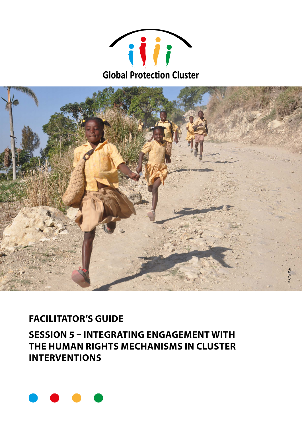



# **FACILITATOR'S GUIDE**

**SESSION 5 – INTEGRATING ENGAGEMENT WITH THE HUMAN RIGHTS MECHANISMS IN CLUSTER INTERVENTIONS** 

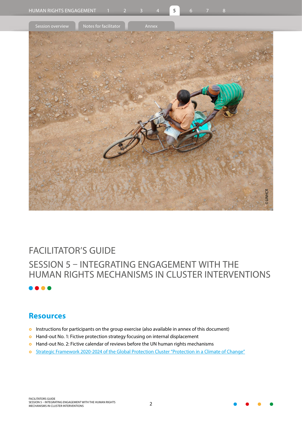

# FACILITATOR'S GUIDE SESSION 5 – INTEGRATING ENGAGEMENT WITH THE HUMAN RIGHTS MECHANISMS IN CLUSTER INTERVENTIONS

## **Resources**

- **o** Instructions for participants on the group exercise (also available in annex of this document)
- **•** Hand-out No. 1: Fictive protection strategy focusing on internal displacement
- **•** Hand-out No. 2: Fictive calendar of reviews before the UN human rights mechanisms
- o [Strategic Framework 2020-2024 of the Global Protection Cluster "Protection in a](https://www.globalprotectioncluster.org/wp-content/uploads/GPC-Strategic-Framework_digital_version-1.pdf) Climate of Change"

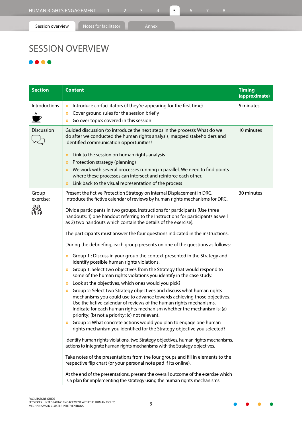# SESSION OVERVIEW

### ...

| <b>Section</b>     | <b>Content</b>                                                                                                                                                                                                                                                                                                                                                                                                                                                                                                                                                                                                                                                                                                                                                                                                                                                                                                                                                                                                                                                                                                                                                                                                                                                                                                                                                                                                                                                                                                                                                                                                                                                                                                                                                                                                                                                                                                                                                                 | <b>Timing</b><br>(approximate) |
|--------------------|--------------------------------------------------------------------------------------------------------------------------------------------------------------------------------------------------------------------------------------------------------------------------------------------------------------------------------------------------------------------------------------------------------------------------------------------------------------------------------------------------------------------------------------------------------------------------------------------------------------------------------------------------------------------------------------------------------------------------------------------------------------------------------------------------------------------------------------------------------------------------------------------------------------------------------------------------------------------------------------------------------------------------------------------------------------------------------------------------------------------------------------------------------------------------------------------------------------------------------------------------------------------------------------------------------------------------------------------------------------------------------------------------------------------------------------------------------------------------------------------------------------------------------------------------------------------------------------------------------------------------------------------------------------------------------------------------------------------------------------------------------------------------------------------------------------------------------------------------------------------------------------------------------------------------------------------------------------------------------|--------------------------------|
| Introductions<br>₩ | Introduce co-facilitators (if they're appearing for the first time)<br>$\bullet$<br>Cover ground rules for the session briefly<br>$\bullet$<br>Go over topics covered in this session<br>$\bullet$                                                                                                                                                                                                                                                                                                                                                                                                                                                                                                                                                                                                                                                                                                                                                                                                                                                                                                                                                                                                                                                                                                                                                                                                                                                                                                                                                                                                                                                                                                                                                                                                                                                                                                                                                                             | 5 minutes                      |
| Discussion         | Guided discussion (to introduce the next steps in the process): What do we<br>do after we conducted the human rights analysis, mapped stakeholders and<br>identified communication opportunities?<br>Link to the session on human rights analysis<br>$\bullet$<br>Protection strategy (planning)<br>$\bullet$<br>We work with several processes running in parallel. We need to find points<br>$\bullet$<br>where these processes can intersect and reinforce each other.<br>Link back to the visual representation of the process<br>$\bullet$                                                                                                                                                                                                                                                                                                                                                                                                                                                                                                                                                                                                                                                                                                                                                                                                                                                                                                                                                                                                                                                                                                                                                                                                                                                                                                                                                                                                                                | 10 minutes                     |
| Group<br>exercise: | Present the fictive Protection Strategy on Internal Displacement in DRC.<br>Introduce the fictive calendar of reviews by human rights mechanisms for DRC.<br>Divide participants in two groups. Instructions for participants (Use three<br>handouts: 1) one handout referring to the Instructions for participants as well<br>as 2) two handouts which contain the details of the exercise).<br>The participants must answer the four questions indicated in the instructions.<br>During the debriefing, each group presents on one of the questions as follows:<br>Group 1 : Discuss in your group the context presented in the Strategy and<br>$\bullet$<br>identify possible human rights violations.<br>Group 1: Select two objectives from the Strategy that would respond to<br>$\bullet$<br>some of the human rights violations you identify in the case study.<br>Look at the objectives, which ones would you pick?<br>$\bullet$<br>Group 2: Select two Strategy objectives and discuss what human rights<br>$\bullet$<br>mechanisms you could use to advance towards achieving those objectives.<br>Use the fictive calendar of reviews of the human rights mechanisms.<br>Indicate for each human rights mechanism whether the mechanism is: (a)<br>priority; (b) not a priority; (c) not relevant.<br>Group 2: What concrete actions would you plan to engage one human<br>$\bullet$<br>rights mechanism you identified for the Strategy objective you selected?<br>Identify human rights violations, two Strategy objectives, human rights mechanisms,<br>actions to integrate human rights mechanisms with the Strategy objectives.<br>Take notes of the presentations from the four groups and fill in elements to the<br>respective flip chart (or your personal note pad if its online).<br>At the end of the presentations, present the overall outcome of the exercise which<br>is a plan for implementing the strategy using the human rights mechanisms. | 30 minutes                     |



 $\bullet$ 

 $\bullet$ 

 $\bullet$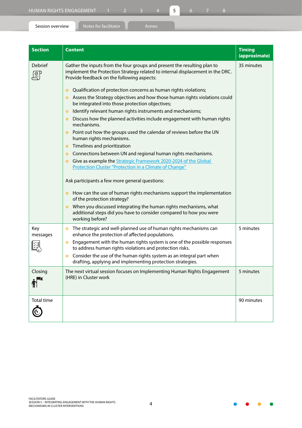| <b>Section</b>      | <b>Content</b>                                                                                                                                                                                           | <b>Timing</b><br>(approximate) |
|---------------------|----------------------------------------------------------------------------------------------------------------------------------------------------------------------------------------------------------|--------------------------------|
| <b>Debrief</b><br>목 | Gather the inputs from the four groups and present the resulting plan to<br>implement the Protection Strategy related to internal displacement in the DRC.<br>Provide feedback on the following aspects: | 35 minutes                     |
|                     | Qualification of protection concerns as human rights violations;<br>$\bullet$                                                                                                                            |                                |
|                     | Assess the Strategy objectives and how those human rights violations could<br>$\bullet$<br>be integrated into those protection objectives;                                                               |                                |
|                     | Identify relevant human rights instruments and mechanisms;<br>$\bullet$                                                                                                                                  |                                |
|                     | Discuss how the planned activities include engagement with human rights<br>mechanisms.                                                                                                                   |                                |
|                     | Point out how the groups used the calendar of reviews before the UN<br>human rights mechanisms.                                                                                                          |                                |
|                     | Timelines and prioritization<br>$\bullet$                                                                                                                                                                |                                |
|                     | Connections between UN and regional human rights mechanisms.<br>$\bullet$                                                                                                                                |                                |
|                     | Give as example the Strategic Framework 2020-2024 of the Global<br>$\bullet$<br>Protection Cluster "Protection in a Climate of Change"                                                                   |                                |
|                     | Ask participants a few more general questions:                                                                                                                                                           |                                |
|                     | • How can the use of human rights mechanisms support the implementation<br>of the protection strategy?                                                                                                   |                                |
|                     | When you discussed integrating the human rights mechanisms, what<br>$\bullet$<br>additional steps did you have to consider compared to how you were<br>working before?                                   |                                |
| Key<br>messages     | The strategic and well-planned use of human rights mechanisms can<br>$\bullet$<br>enhance the protection of affected populations.                                                                        | 5 minutes                      |
|                     | Engagement with the human rights system is one of the possible responses<br>$\bullet$<br>to address human rights violations and protection risks.                                                        |                                |
|                     | Consider the use of the human rights system as an integral part when<br>$\bullet$<br>drafting, applying and implementing protection strategies.                                                          |                                |
| Closing             | The next virtual session focuses on Implementing Human Rights Engagement<br>(HRE) in Cluster work                                                                                                        | 5 minutes                      |
| <b>Total time</b>   |                                                                                                                                                                                                          | 90 minutes                     |

 $\bar{\mathbb{O}}$ 

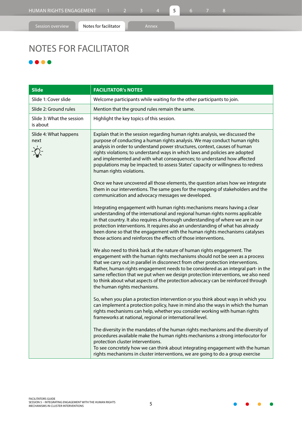# NOTES FOR FACILITATOR

### ...

| <b>Slide</b>                          | <b>FACILITATOR'S NOTES</b>                                                                                                                                                                                                                                                                                                                                                                                                                                                                                                                 |  |  |
|---------------------------------------|--------------------------------------------------------------------------------------------------------------------------------------------------------------------------------------------------------------------------------------------------------------------------------------------------------------------------------------------------------------------------------------------------------------------------------------------------------------------------------------------------------------------------------------------|--|--|
| Slide 1: Cover slide                  | Welcome participants while waiting for the other participants to join.                                                                                                                                                                                                                                                                                                                                                                                                                                                                     |  |  |
| Slide 2: Ground rules                 | Mention that the ground rules remain the same.                                                                                                                                                                                                                                                                                                                                                                                                                                                                                             |  |  |
| Slide 3: What the session<br>is about | Highlight the key topics of this session.                                                                                                                                                                                                                                                                                                                                                                                                                                                                                                  |  |  |
| Slide 4: What happens<br>next         | Explain that in the session regarding human rights analysis, we discussed the<br>purpose of conducting a human rights analysis. We may conduct human rights<br>analysis in order to understand power structures, context, causes of human<br>rights violations; to understand ways in which laws and policies are adopted<br>and implemented and with what consequences; to understand how affected<br>populations may be impacted; to assess States' capacity or willingness to redress<br>human rights violations.                       |  |  |
|                                       | Once we have uncovered all those elements, the question arises how we integrate<br>them in our interventions. The same goes for the mapping of stakeholders and the<br>communication and advocacy messages we developed.                                                                                                                                                                                                                                                                                                                   |  |  |
|                                       | Integrating engagement with human rights mechanisms means having a clear<br>understanding of the international and regional human rights norms applicable<br>in that country. It also requires a thorough understanding of where we are in our<br>protection interventions. It requires also an understanding of what has already<br>been done so that the engagement with the human rights mechanisms catalyses<br>those actions and reinforces the effects of those interventions.                                                       |  |  |
|                                       | We also need to think back at the nature of human rights engagement. The<br>engagement with the human rights mechanisms should not be seen as a process<br>that we carry out in parallel in disconnect from other protection interventions.<br>Rather, human rights engagement needs to be considered as an integral part- in the<br>same reflection that we put when we design protection interventions, we also need<br>to think about what aspects of the protection advocacy can be reinforced through<br>the human rights mechanisms. |  |  |
|                                       | So, when you plan a protection intervention or you think about ways in which you<br>can implement a protection policy, have in mind also the ways in which the human<br>rights mechanisms can help, whether you consider working with human rights<br>frameworks at national, regional or international level.                                                                                                                                                                                                                             |  |  |
|                                       | The diversity in the mandates of the human rights mechanisms and the diversity of<br>procedures available make the human rights mechanisms a strong interlocutor for<br>protection cluster interventions.<br>To see concretely how we can think about integrating engagement with the human<br>rights mechanisms in cluster interventions, we are going to do a group exercise                                                                                                                                                             |  |  |

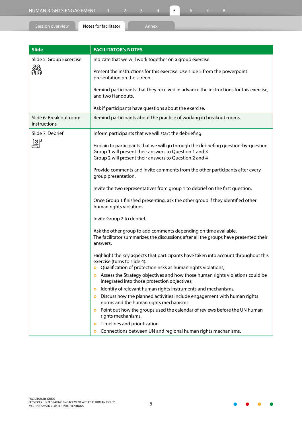| HUMAN RIGHTS ENGAGEMENT |                       |  |       |  |  |  |  |
|-------------------------|-----------------------|--|-------|--|--|--|--|
| Session overview        | Notes for facilitator |  | Annex |  |  |  |  |

| <b>Slide</b>                            | <b>FACILITATOR's NOTES</b>                                                                                                                                                                                           |
|-----------------------------------------|----------------------------------------------------------------------------------------------------------------------------------------------------------------------------------------------------------------------|
| Slide 5: Group Excercise                | Indicate that we will work together on a group exercise.                                                                                                                                                             |
| 器                                       | Present the instructions for this exercise. Use slide 5 from the powerpoint<br>presentation on the screen.                                                                                                           |
|                                         | Remind participants that they received in advance the instructions for this exercise,<br>and two Handouts.                                                                                                           |
|                                         | Ask if participants have questions about the exercise.                                                                                                                                                               |
| Slide 6: Break out room<br>instructions | Remind participants about the practice of working in breakout rooms.                                                                                                                                                 |
| Slide 7: Debrief                        | Inform participants that we will start the debriefing.                                                                                                                                                               |
| 하기                                      | Explain to participants that we will go through the debriefing question-by-question.<br>Group 1 will present their answers to Question 1 and 3<br>Group 2 will present their answers to Question 2 and 4             |
|                                         | Provide comments and invite comments from the other participants after every<br>group presentation.                                                                                                                  |
|                                         | Invite the two representatives from group 1 to debrief on the first question.                                                                                                                                        |
|                                         | Once Group 1 finished presenting, ask the other group if they identified other<br>human rights violations.                                                                                                           |
|                                         | Invite Group 2 to debrief.                                                                                                                                                                                           |
|                                         | Ask the other group to add comments depending on time available.<br>The facilitator summarizes the discussions after all the groups have presented their<br>answers.                                                 |
|                                         | Highlight the key aspects that participants have taken into account throughout this<br>exercise (turns to slide 4):                                                                                                  |
|                                         | <b>o</b> Qualification of protection risks as human rights violations;<br>Assess the Strategy objectives and how those human rights violations could be<br>$\bullet$<br>integrated into those protection objectives; |
|                                         | Identify of relevant human rights instruments and mechanisms;<br>$\bullet$                                                                                                                                           |
|                                         | Discuss how the planned activities include engagement with human rights<br>$\bullet$<br>norms and the human rights mechanisms.                                                                                       |
|                                         | Point out how the groups used the calendar of reviews before the UN human<br>$\bullet$<br>rights mechanisms.                                                                                                         |
|                                         | Timelines and prioritization<br>$\bullet$                                                                                                                                                                            |
|                                         | Connections between UN and regional human rights mechanisms.<br>$\bullet$                                                                                                                                            |

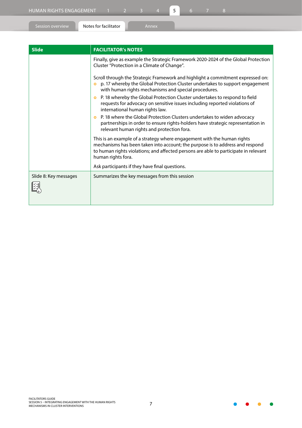图

| Session overview | Notes for facilitator      | 'Annex                                       |                                                                                     |
|------------------|----------------------------|----------------------------------------------|-------------------------------------------------------------------------------------|
|                  |                            |                                              |                                                                                     |
| <b>Slide</b>     | <b>FACILITATOR's NOTES</b> |                                              |                                                                                     |
|                  |                            | Cluster "Protection in a Climate of Change". | Finally, give as example the Strategic Framework 2020-2024 of the Global Protection |
|                  |                            |                                              | Scroll through the Strategic Framework and highlight a commitment expressed on:     |

**o** p. 17 whereby the Global Protection Cluster undertakes to support engagement with human rights mechanisms and special procedures. **o** P. 18 whereby the Global Protection Cluster undertakes to respond to field

requests for advocacy on sensitive issues including reported violations of international human rights law.

**o** P. 18 where the Global Protection Clusters undertakes to widen advocacy partnerships in order to ensure rights-holders have strategic representation in relevant human rights and protection fora.

This is an example of a strategy where engagement with the human rights mechanisms has been taken into account; the purpose is to address and respond to human rights violations; and affected persons are able to participate in relevant human rights fora. Ask participants if they have final questions.

| Slide 8: Key messages | Summarizes the key messages from this session |
|-----------------------|-----------------------------------------------|
|                       |                                               |

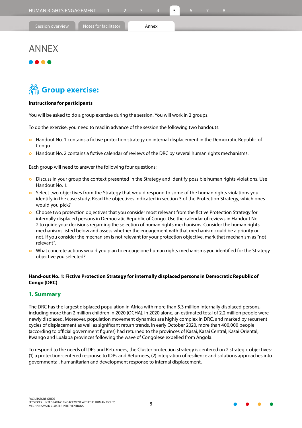| 'Session overviev |  |  |
|-------------------|--|--|
|                   |  |  |

## ANNEX

# **Group exercise:**

#### **Instructions for participants**

You will be asked to do a group exercise during the session. You will work in 2 groups.

To do the exercise, you need to read in advance of the session the following two handouts:

- **o** Handout No. 1 contains a fictive protection strategy on internal displacement in the Democratic Republic of Congo
- **o** Handout No. 2 contains a fictive calendar of reviews of the DRC by several human rights mechanisms.

Each group will need to answer the following four questions:

- **•** Discuss in your group the context presented in the Strategy and identify possible human rights violations. Use Handout No. 1.
- **o** Select two objectives from the Strategy that would respond to some of the human rights violations you identify in the case study. Read the objectives indicated in section 3 of the Protection Strategy, which ones would you pick?
- } Choose two protection objectives that you consider most relevant from the fictive Protection Strategy for internally displaced persons in Democratic Republic of Congo. Use the calendar of reviews in Handout No. 2 to guide your decisions regarding the selection of human rights mechanisms. Consider the human rights mechanisms listed below and assess whether the engagement with that mechanism could be a priority or not. If you consider the mechanism is not relevant for your protection objective, mark that mechanism as "not relevant".
- } What concrete actions would you plan to engage one human rights mechanisms you identified for the Strategy objective you selected?

#### **Hand-out No. 1: Fictive Protection Strategy for internally displaced persons in Democratic Republic of Congo (DRC)**

#### **1. Summary**

The DRC has the largest displaced population in Africa with more than 5.3 million internally displaced persons, including more than 2 million children in 2020 (OCHA). In 2020 alone, an estimated total of 2.2 million people were newly displaced. Moreover, population movement dynamics are highly complex in DRC, and marked by recurrent cycles of displacement as well as significant return trends. In early October 2020, more than 400,000 people (according to official government figures) had returned to the provinces of Kasai, Kasai Central, Kasai Oriental, Kwango and Lualaba provinces following the wave of Congolese expelled from Angola.

To respond to the needs of IDPs and Returnees, the Cluster protection strategy is centered on 2 strategic objectives: (1) a protection-centered response to IDPs and Returnees, (2) integration of resilience and solutions approaches into governmental, humanitarian and development response to internal displacement.

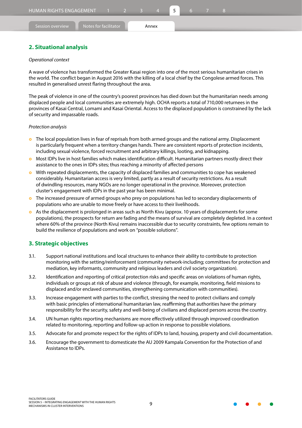#### **2. Situational analysis**

#### *Operational context*

A wave of violence has transformed the Greater Kasai region into one of the most serious humanitarian crises in the world. The conflict began in August 2016 with the killing of a local chief by the Congolese armed forces. This resulted in generalised unrest flaring throughout the area.

The peak of violence in one of the country's poorest provinces has died down but the humanitarian needs among displaced people and local communities are extremely high. OCHA reports a total of 710,000 returnees in the provinces of Kasai Central, Lomami and Kasai Oriental. Access to the displaced population is constrained by the lack of security and impassable roads.

#### *Protection analysis*

- **o** The local population lives in fear of reprisals from both armed groups and the national army. Displacement is particularly frequent when a territory changes hands. There are consistent reports of protection incidents, including sexual violence, forced recruitment and arbitrary killings, looting, and kidnapping.
- } Most IDPs live in host families which makes identification difficult. Humanitarian partners mostly direct their assistance to the ones in IDPs sites; thus reaching a minority of affected persons
- **•** With repeated displacements, the capacity of displaced families and communities to cope has weakened considerably. Humanitarian access is very limited, partly as a result of security restrictions. As a result of dwindling resources, many NGOs are no longer operational in the province. Moreover, protection cluster's engagement with IDPs in the past year has been minimal.
- **o** The increased pressure of armed groups who prey on populations has led to secondary displacements of populations who are unable to move freely or have access to their livelihoods.
- **o** As the displacement is prolonged in areas such as North Kivu (approx. 10 years of displacements for some populations), the prospects for return are fading and the means of survival are completely depleted. In a context where 60% of the province (North Kivu) remains inaccessible due to security constraints, few options remain to build the resilience of populations and work on "possible solutions".

#### **3. Strategic objectives**

- 3.1. Support national institutions and local structures to enhance their ability to contribute to protection monitoring with the setting/reinforcement (community network-including; committees for protection and mediation, key informants, community and religious leaders and civil society organization).
- 3.2. Identification and reporting of critical protection risks and specific areas on violations of human rights, individuals or groups at risk of abuse and violence (through, for example, monitoring, field missions to displaced and/or enclaved communities, strengthening communication with communities).
- 3.3. Increase engagement with parties to the conflict, stressing the need to protect civilians and comply with basic principles of international humanitarian law, reaffirming that authorities have the primary responsibility for the security, safety and well-being of civilians and displaced persons across the country.
- 3.4. UN human rights reporting mechanisms are more effectively utilized through improved coordination related to monitoring, reporting and follow-up action in response to possible violations.
- 3.5. Advocate for and promote respect for the rights of IDPs to land, housing, property and civil documentation.
- 3.6. Encourage the government to domesticate the AU 2009 Kampala Convention for the Protection of and Assistance to IDPs.

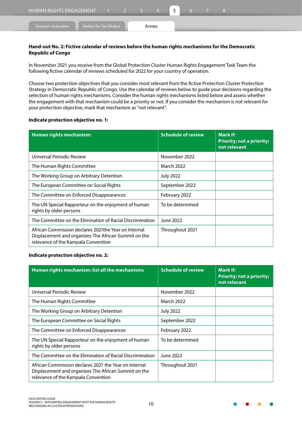#### **Hand-out No. 2: Fictive calendar of reviews before the human rights mechanisms for the Democratic Republic of Congo**

In November 2021 you receive from the Global Protection Cluster Human Rights Engagement Task Team the following fictive calendar of reviews scheduled for 2022 for your country of operation.

Choose two protection objectives that you consider most relevant from the fictive Protection Cluster Protection Strategy in Democratic Republic of Congo. Use the calendar of reviews below to guide your decisions regarding the selection of human rights mechanisms. Consider the human rights mechanisms listed below and assess whether the engagement with that mechanism could be a priority or not. If you consider the mechanism is not relevant for your protection objective, mark that mechanism as "not relevant".

#### **Indicate protection objective no. 1:**

| <b>Human rights mechanism:</b>                                                                                                                       | <b>Schedule of review</b> | Mark if:<br><b>Priority; not a priority;</b><br>not relevant |
|------------------------------------------------------------------------------------------------------------------------------------------------------|---------------------------|--------------------------------------------------------------|
| Universal Periodic Review                                                                                                                            | November 2022             |                                                              |
| The Human Rights Committee                                                                                                                           | <b>March 2022</b>         |                                                              |
| The Working Group on Arbitrary Detention                                                                                                             | <b>July 2022</b>          |                                                              |
| The European Committee on Social Rights                                                                                                              | September 2022            |                                                              |
| The Committee on Enforced Disappearances                                                                                                             | February 2022             |                                                              |
| The UN Special Rapporteur on the enjoyment of human<br>rights by older persons                                                                       | To be determined          |                                                              |
| The Committee on the Elimination of Racial Discrimination                                                                                            | June 2022                 |                                                              |
| African Commission declares 2021 the Year on Internal<br>Displacement and organizes The African Summit on the<br>relevance of the Kampala Convention | Throughout 2021           |                                                              |

#### **Indicate protection objective no. 2:**

| Human rights mechanism: list all the mechanisms                                                                                                      | <b>Schedule of review</b> | Mark if:<br><b>Priority; not a priority;</b><br>not relevant |
|------------------------------------------------------------------------------------------------------------------------------------------------------|---------------------------|--------------------------------------------------------------|
| Universal Periodic Review                                                                                                                            | November 2022             |                                                              |
| The Human Rights Committee                                                                                                                           | March 2022                |                                                              |
| The Working Group on Arbitrary Detention                                                                                                             | <b>July 2022</b>          |                                                              |
| The European Committee on Social Rights                                                                                                              | September 2022            |                                                              |
| The Committee on Enforced Disappearances                                                                                                             | February 2022             |                                                              |
| The UN Special Rapporteur on the enjoyment of human<br>rights by older persons                                                                       | To be determined          |                                                              |
| The Committee on the Elimination of Racial Discrimination                                                                                            | June 2022                 |                                                              |
| African Commission declares 2021 the Year on Internal<br>Displacement and organizes The African Summit on the<br>relevance of the Kampala Convention | Throughout 2021           |                                                              |

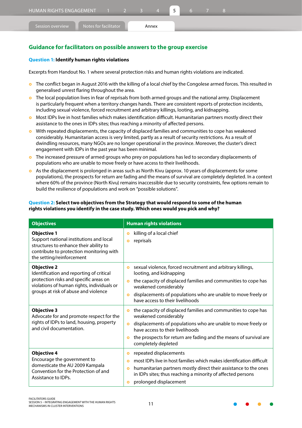#### **Question 1: Identify human rights violations**

Excerpts from Handout No. 1 where several protection risks and human rights violations are indicated.

- **o** The conflict began in August 2016 with the killing of a local chief by the Congolese armed forces. This resulted in generalised unrest flaring throughout the area.
- **•** The local population lives in fear of reprisals from both armed groups and the national army. Displacement is particularly frequent when a territory changes hands. There are consistent reports of protection incidents, including sexual violence, forced recruitment and arbitrary killings, looting, and kidnapping.
- **o** Most IDPs live in host families which makes identification difficult. Humanitarian partners mostly direct their assistance to the ones in IDPs sites; thus reaching a minority of affected persons.
- **o** With repeated displacements, the capacity of displaced families and communities to cope has weakened considerably. Humanitarian access is very limited, partly as a result of security restrictions. As a result of dwindling resources, many NGOs are no longer operational in the province. Moreover, the cluster's direct engagement with IDPs in the past year has been minimal.
- } The increased pressure of armed groups who prey on populations has led to secondary displacements of populations who are unable to move freely or have access to their livelihoods.
- **o** As the displacement is prolonged in areas such as North Kivu (approx. 10 years of displacements for some populations), the prospects for return are fading and the means of survival are completely depleted. In a context where 60% of the province (North Kivu) remains inaccessible due to security constraints, few options remain to build the resilience of populations and work on "possible solutions".

#### **Question 2: Select two objectives from the Strategy that would respond to some of the human rights violations you identify in the case study. Which ones would you pick and why?**

| <b>Objectives</b>                                                                                                                                                                              | <b>Human rights violations</b>                                                                                                                                                                                                                                                                                                  |
|------------------------------------------------------------------------------------------------------------------------------------------------------------------------------------------------|---------------------------------------------------------------------------------------------------------------------------------------------------------------------------------------------------------------------------------------------------------------------------------------------------------------------------------|
| <b>Objective 1</b><br>Support national institutions and local<br>structures to enhance their ability to<br>contribute to protection monitoring with<br>the setting/reinforcement               | killing of a local chief<br>$\bullet$<br>reprisals<br>۰                                                                                                                                                                                                                                                                         |
| <b>Objective 2</b><br>Identification and reporting of critical<br>protection risks and specific areas on<br>violations of human rights, individuals or<br>groups at risk of abuse and violence | sexual violence, forced recruitment and arbitrary killings,<br>$\bullet$<br>looting, and kidnapping<br>the capacity of displaced families and communities to cope has<br>$\bullet$<br>weakened considerably<br>displacements of populations who are unable to move freely or<br>$\bullet$<br>have access to their livelihoods   |
| <b>Objective 3</b><br>Advocate for and promote respect for the<br>rights of IDPs to land, housing, property<br>and civil documentation.                                                        | the capacity of displaced families and communities to cope has<br>$\bullet$<br>weakened considerably<br>displacements of populations who are unable to move freely or<br>$\bullet$<br>have access to their livelihoods<br>the prospects for return are fading and the means of survival are<br>$\bullet$<br>completely depleted |
| <b>Objective 4</b><br>Encourage the government to<br>domesticate the AU 2009 Kampala<br>Convention for the Protection of and<br>Assistance to IDPs.                                            | repeated displacements<br>۰<br>most IDPs live in host families which makes identification difficult<br>$\bullet$<br>humanitarian partners mostly direct their assistance to the ones<br>$\bullet$<br>in IDPs sites; thus reaching a minority of affected persons<br>prolonged displacement<br>۰                                 |

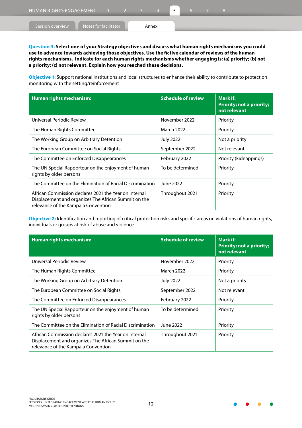**Question 3: Select one of your Strategy objectives and discuss what human rights mechanisms you could use to advance towards achieving those objectives. Use the fictive calendar of reviews of the human rights mechanisms. Indicate for each human rights mechanisms whether engaging is: (a) priority; (b) not a priority; (c) not relevant. Explain how you reached these decisions.**

**Objective 1:** Support national institutions and local structures to enhance their ability to contribute to protection monitoring with the setting/reinforcement

| Human rights mechanism:                                                                                                                              | <b>Schedule of review</b> | Mark if:<br><b>Priority; not a priority;</b><br>not relevant |
|------------------------------------------------------------------------------------------------------------------------------------------------------|---------------------------|--------------------------------------------------------------|
| Universal Periodic Review                                                                                                                            | November 2022             | Priority                                                     |
| The Human Rights Committee                                                                                                                           | March 2022                | Priority                                                     |
| The Working Group on Arbitrary Detention                                                                                                             | <b>July 2022</b>          | Not a priority                                               |
| The European Committee on Social Rights                                                                                                              | September 2022            | Not relevant                                                 |
| The Committee on Enforced Disappearances                                                                                                             | February 2022             | Priority (kidnappings)                                       |
| The UN Special Rapporteur on the enjoyment of human<br>rights by older persons                                                                       | To be determined          | Priority                                                     |
| The Committee on the Elimination of Racial Discrimination                                                                                            | June 2022                 | Priority                                                     |
| African Commission declares 2021 the Year on Internal<br>Displacement and organizes The African Summit on the<br>relevance of the Kampala Convention | Throughout 2021           | Priority                                                     |

**Objective 2:** Identification and reporting of critical protection risks and specific areas on violations of human rights, individuals or groups at risk of abuse and violence

| <b>Human rights mechanism:</b>                                                                                                                       | <b>Schedule of review</b> | Mark if:<br><b>Priority; not a priority;</b><br>not relevant |  |  |
|------------------------------------------------------------------------------------------------------------------------------------------------------|---------------------------|--------------------------------------------------------------|--|--|
| Universal Periodic Review                                                                                                                            | November 2022             | Priority                                                     |  |  |
| The Human Rights Committee                                                                                                                           | <b>March 2022</b>         | Priority                                                     |  |  |
| The Working Group on Arbitrary Detention                                                                                                             | <b>July 2022</b>          | Not a priority                                               |  |  |
| The European Committee on Social Rights                                                                                                              | September 2022            | Not relevant                                                 |  |  |
| The Committee on Enforced Disappearances                                                                                                             | February 2022             | Priority                                                     |  |  |
| The UN Special Rapporteur on the enjoyment of human<br>rights by older persons                                                                       | To be determined          | Priority                                                     |  |  |
| The Committee on the Elimination of Racial Discrimination                                                                                            | June 2022                 | Priority                                                     |  |  |
| African Commission declares 2021 the Year on Internal<br>Displacement and organizes The African Summit on the<br>relevance of the Kampala Convention | Throughout 2021           | Priority                                                     |  |  |

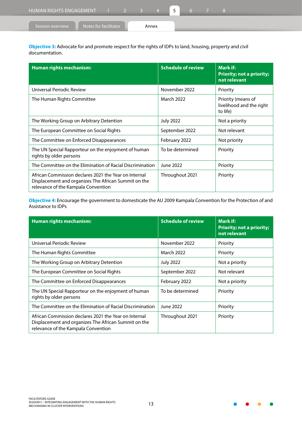| HUMAN RIGHTS ENGAGEMENT 1 2 3 4           |  |       |  |  |  |  |
|-------------------------------------------|--|-------|--|--|--|--|
| Notes for facilitator<br>Session overview |  | Annex |  |  |  |  |

**Objective 3:** Advocate for and promote respect for the rights of IDPs to land, housing, property and civil documentation.

| <b>Human rights mechanism:</b>                                                                                                                       | <b>Schedule of review</b> | Mark if:<br><b>Priority; not a priority;</b><br>not relevant |  |  |  |
|------------------------------------------------------------------------------------------------------------------------------------------------------|---------------------------|--------------------------------------------------------------|--|--|--|
| Universal Periodic Review                                                                                                                            | November 2022             | Priority                                                     |  |  |  |
| The Human Rights Committee                                                                                                                           | <b>March 2022</b>         | Priority (means of<br>livelihood and the right<br>to life)   |  |  |  |
| The Working Group on Arbitrary Detention                                                                                                             | <b>July 2022</b>          | Not a priority                                               |  |  |  |
| The European Committee on Social Rights                                                                                                              | September 2022            | Not relevant                                                 |  |  |  |
| The Committee on Enforced Disappearances                                                                                                             | February 2022             | Not priority                                                 |  |  |  |
| The UN Special Rapporteur on the enjoyment of human<br>rights by older persons                                                                       | To be determined          | Priority                                                     |  |  |  |
| The Committee on the Elimination of Racial Discrimination                                                                                            | June 2022                 | Priority                                                     |  |  |  |
| African Commission declares 2021 the Year on Internal<br>Displacement and organizes The African Summit on the<br>relevance of the Kampala Convention | Throughout 2021           | Priority                                                     |  |  |  |

**Objective 4:** Encourage the government to domesticate the AU 2009 Kampala Convention for the Protection of and Assistance to IDPs

| <b>Human rights mechanism:</b>                                                                                                                       | <b>Schedule of review</b> | Mark if:<br><b>Priority; not a priority;</b><br>not relevant |  |  |
|------------------------------------------------------------------------------------------------------------------------------------------------------|---------------------------|--------------------------------------------------------------|--|--|
| Universal Periodic Review                                                                                                                            | November 2022             | Priority                                                     |  |  |
| The Human Rights Committee                                                                                                                           | March 2022                | Priority                                                     |  |  |
| The Working Group on Arbitrary Detention                                                                                                             | <b>July 2022</b>          | Not a priority                                               |  |  |
| The European Committee on Social Rights                                                                                                              | September 2022            | Not relevant                                                 |  |  |
| The Committee on Enforced Disappearances                                                                                                             | February 2022             | Not a priority                                               |  |  |
| The UN Special Rapporteur on the enjoyment of human<br>rights by older persons                                                                       | To be determined          | Priority                                                     |  |  |
| The Committee on the Elimination of Racial Discrimination                                                                                            | June 2022                 | Priority                                                     |  |  |
| African Commission declares 2021 the Year on Internal<br>Displacement and organizes The African Summit on the<br>relevance of the Kampala Convention | Throughout 2021           | Priority                                                     |  |  |

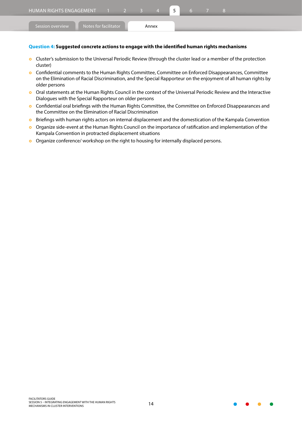| I HUMAN RIGHTS ENGAGEMENT   1   2 <sup>1</sup> |                       |  |       |  |  |  |  |
|------------------------------------------------|-----------------------|--|-------|--|--|--|--|
| Session overview                               | Notes for facilitator |  | Annex |  |  |  |  |

#### **Question 4: Suggested concrete actions to engage with the identified human rights mechanisms**

- **o** Cluster's submission to the Universal Periodic Review (through the cluster lead or a member of the protection cluster)
- **o** Confidential comments to the Human Rights Committee, Committee on Enforced Disappearances, Committee on the Elimination of Racial Discrimination, and the Special Rapporteur on the enjoyment of all human rights by older persons
- o Oral statements at the Human Rights Council in the context of the Universal Periodic Review and the Interactive Dialogues with the Special Rapporteur on older persons
- **o** Confidential oral briefings with the Human Rights Committee, the Committee on Enforced Disappearances and the Committee on the Elimination of Racial Discrimination
- **o** Briefings with human rights actors on internal displacement and the domestication of the Kampala Convention
- **•** Organize side-event at the Human Rights Council on the importance of ratification and implementation of the Kampala Convention in protracted displacement situations
- **o** Organize conference/ workshop on the right to housing for internally displaced persons.